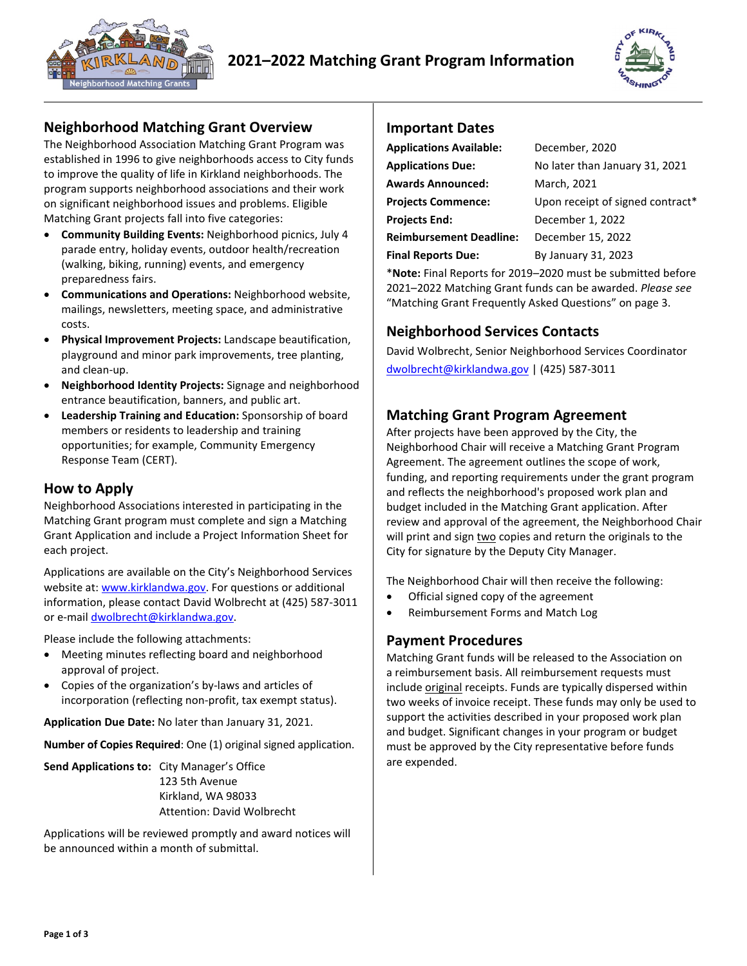



### **Neighborhood Matching Grant Overview**

The Neighborhood Association Matching Grant Program was established in 1996 to give neighborhoods access to City funds to improve the quality of life in Kirkland neighborhoods. The program supports neighborhood associations and their work on significant neighborhood issues and problems. Eligible Matching Grant projects fall into five categories:

- **Community Building Events:** Neighborhood picnics, July 4 parade entry, holiday events, outdoor health/recreation (walking, biking, running) events, and emergency preparedness fairs.
- **Communications and Operations:** Neighborhood website, mailings, newsletters, meeting space, and administrative costs.
- **Physical Improvement Projects:** Landscape beautification, playground and minor park improvements, tree planting, and clean-up.
- **Neighborhood Identity Projects:** Signage and neighborhood entrance beautification, banners, and public art.
- **Leadership Training and Education:** Sponsorship of board members or residents to leadership and training opportunities; for example, Community Emergency Response Team (CERT).

### **How to Apply**

Neighborhood Associations interested in participating in the Matching Grant program must complete and sign a Matching Grant Application and include a Project Information Sheet for each project.

Applications are available on the City's Neighborhood Services website at: www.kirklandwa.gov. For questions or additional information, please contact David Wolbrecht at (425) 587-3011 or e-mail dwolbrecht@kirklandwa.gov.

Please include the following attachments:

- Meeting minutes reflecting board and neighborhood approval of project.
- Copies of the organization's by-laws and articles of incorporation (reflecting non-profit, tax exempt status).

**Application Due Date:** No later than January 31, 2021.

**Number of Copies Required**: One (1) original signed application.

**Send Applications to:** City Manager's Office 123 5th Avenue Kirkland, WA 98033 Attention: David Wolbrecht

Applications will be reviewed promptly and award notices will be announced within a month of submittal.

### **Important Dates**

| <b>Applications Available:</b> | December, 2020                   |
|--------------------------------|----------------------------------|
| <b>Applications Due:</b>       | No later than January 31, 2021   |
| <b>Awards Announced:</b>       | March, 2021                      |
| <b>Projects Commence:</b>      | Upon receipt of signed contract* |
| Projects End:                  | December 1, 2022                 |
| <b>Reimbursement Deadline:</b> | December 15, 2022                |
| <b>Final Reports Due:</b>      | By January 31, 2023              |

\***Note:** Final Reports for 2019–2020 must be submitted before 2021–2022 Matching Grant funds can be awarded. *Please see* "Matching Grant Frequently Asked Questions" on page 3.

## **Neighborhood Services Contacts**

David Wolbrecht, Senior Neighborhood Services Coordinator dwolbrecht@kirklandwa.gov | (425) 587-3011

### **Matching Grant Program Agreement**

After projects have been approved by the City, the Neighborhood Chair will receive a Matching Grant Program Agreement. The agreement outlines the scope of work, funding, and reporting requirements under the grant program and reflects the neighborhood's proposed work plan and budget included in the Matching Grant application. After review and approval of the agreement, the Neighborhood Chair will print and sign two copies and return the originals to the City for signature by the Deputy City Manager.

The Neighborhood Chair will then receive the following:

- Official signed copy of the agreement
- Reimbursement Forms and Match Log

### **Payment Procedures**

Matching Grant funds will be released to the Association on a reimbursement basis. All reimbursement requests must include original receipts. Funds are typically dispersed within two weeks of invoice receipt. These funds may only be used to support the activities described in your proposed work plan and budget. Significant changes in your program or budget must be approved by the City representative before funds are expended.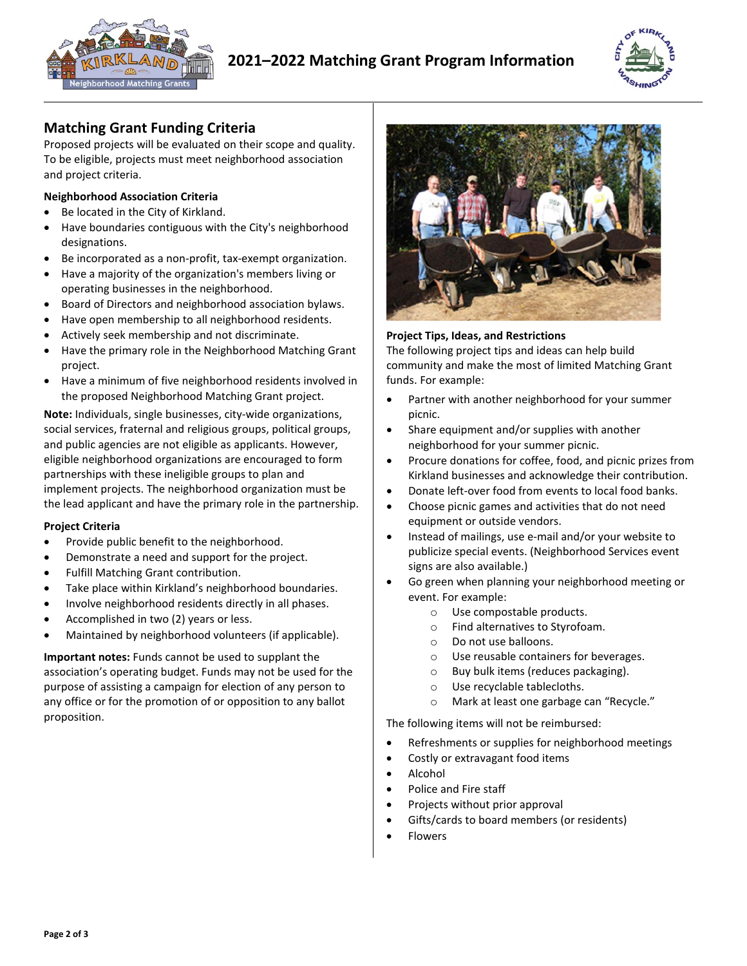



### **Matching Grant Funding Criteria**

Proposed projects will be evaluated on their scope and quality. To be eligible, projects must meet neighborhood association and project criteria.

#### **Neighborhood Association Criteria**

- Be located in the City of Kirkland.
- Have boundaries contiguous with the City's neighborhood designations.
- Be incorporated as a non-profit, tax-exempt organization.
- Have a majority of the organization's members living or operating businesses in the neighborhood.
- Board of Directors and neighborhood association bylaws.
- Have open membership to all neighborhood residents.
- Actively seek membership and not discriminate.
- Have the primary role in the Neighborhood Matching Grant project.
- Have a minimum of five neighborhood residents involved in the proposed Neighborhood Matching Grant project.

**Note:** Individuals, single businesses, city-wide organizations, social services, fraternal and religious groups, political groups, and public agencies are not eligible as applicants. However, eligible neighborhood organizations are encouraged to form partnerships with these ineligible groups to plan and implement projects. The neighborhood organization must be the lead applicant and have the primary role in the partnership.

#### **Project Criteria**

- Provide public benefit to the neighborhood.
- Demonstrate a need and support for the project.
- Fulfill Matching Grant contribution.
- Take place within Kirkland's neighborhood boundaries.
- Involve neighborhood residents directly in all phases.
- Accomplished in two (2) years or less.
- Maintained by neighborhood volunteers (if applicable).

**Important notes:** Funds cannot be used to supplant the association's operating budget. Funds may not be used for the purpose of assisting a campaign for election of any person to any office or for the promotion of or opposition to any ballot proposition.



#### **Project Tips, Ideas, and Restrictions**

The following project tips and ideas can help build community and make the most of limited Matching Grant funds. For example:

- Partner with another neighborhood for your summer picnic.
- Share equipment and/or supplies with another neighborhood for your summer picnic.
- Procure donations for coffee, food, and picnic prizes from Kirkland businesses and acknowledge their contribution.
- Donate left-over food from events to local food banks.
- Choose picnic games and activities that do not need equipment or outside vendors.
- Instead of mailings, use e-mail and/or your website to publicize special events. (Neighborhood Services event signs are also available.)
- Go green when planning your neighborhood meeting or event. For example:
	- o Use compostable products.
	- o Find alternatives to Styrofoam.
	- o Do not use balloons.
	- o Use reusable containers for beverages.
	- o Buy bulk items (reduces packaging).
	- o Use recyclable tablecloths.
	- o Mark at least one garbage can "Recycle."

The following items will not be reimbursed:

- Refreshments or supplies for neighborhood meetings
- Costly or extravagant food items
- Alcohol
- Police and Fire staff
- Projects without prior approval
- Gifts/cards to board members (or residents)
- **Flowers**